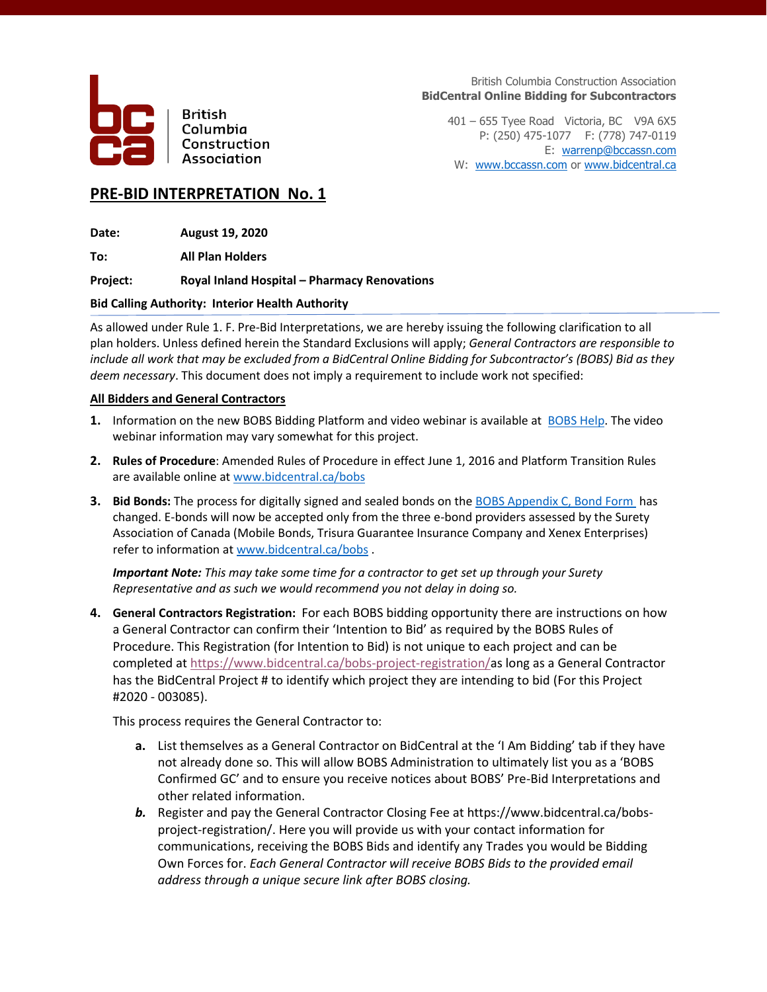

**British** Columbia Construction Association

British Columbia Construction Association **BidCentral Online Bidding for Subcontractors**

401 – 655 Tyee Road Victoria, BC V9A 6X5 P: (250) 475-1077 F: (778) 747-0119 E: [warrenp@bccassn.com](mailto:warrenp@bccassn.com) W: [www.bccassn.com](http://www.bccassn.com/) or [www.bidcentral.ca](http://www.bidcentral.ca/)

# **PRE-BID INTERPRETATION No. 1**

**Date: August 19, 2020**

**To: All Plan Holders**

**Project: Royal Inland Hospital – Pharmacy Renovations**

## **Bid Calling Authority: Interior Health Authority**

As allowed under Rule 1. F. Pre-Bid Interpretations, we are hereby issuing the following clarification to all plan holders. Unless defined herein the Standard Exclusions will apply; *General Contractors are responsible to include all work that may be excluded from a BidCentral Online Bidding for Subcontractor's (BOBS) Bid as they deem necessary*. This document does not imply a requirement to include work not specified:

## **All Bidders and General Contractors**

- **1.** Information on the new BOBS Bidding Platform and video webinar is available at [BOBS](http://www.bidcentral.ca/bobs) Help. The video webinar information may vary somewhat for this project.
- **2. Rules of Procedure**: Amended Rules of Procedure in effect June 1, 2016 and Platform Transition Rules are available online at [www.bidcentral.ca/bobs](http://www.bidcentral.ca/bobs)
- **3.** Bid Bonds: The process for digitally signed and sealed bonds on th[e BOBS Appendix C, Bond Form](https://www.bidcentral.ca/help/bobs-bond-form/) has changed. E-bonds will now be accepted only from the three e-bond providers assessed by the Surety Association of Canada (Mobile Bonds, Trisura Guarantee Insurance Company and Xenex Enterprises) refer to information at [www.bidcentral.ca/bobs](http://www.bidcentral.ca/bobs) .

*Important Note: This may take some time for a contractor to get set up through your Surety Representative and as such we would recommend you not delay in doing so.* 

**4. General Contractors Registration:** For each BOBS bidding opportunity there are instructions on how a General Contractor can confirm their 'Intention to Bid' as required by the BOBS Rules of Procedure. This Registration (for Intention to Bid) is not unique to each project and can be completed at [https://www.bidcentral.ca/bobs-project-registration/a](https://www.bidcentral.ca/bobs-project-registration/)s long as a General Contractor has the BidCentral Project # to identify which project they are intending to bid (For this Project #2020 - 003085).

This process requires the General Contractor to:

- **a.** List themselves as a General Contractor on BidCentral at the 'I Am Bidding' tab if they have not already done so. This will allow BOBS Administration to ultimately list you as a 'BOBS Confirmed GC' and to ensure you receive notices about BOBS' Pre-Bid Interpretations and other related information.
- *b.* Register and pay the General Contractor Closing Fee at https://www.bidcentral.ca/bobsproject-registration/. Here you will provide us with your contact information for communications, receiving the BOBS Bids and identify any Trades you would be Bidding Own Forces for. *Each General Contractor will receive BOBS Bids to the provided email address through a unique secure link after BOBS closing.*